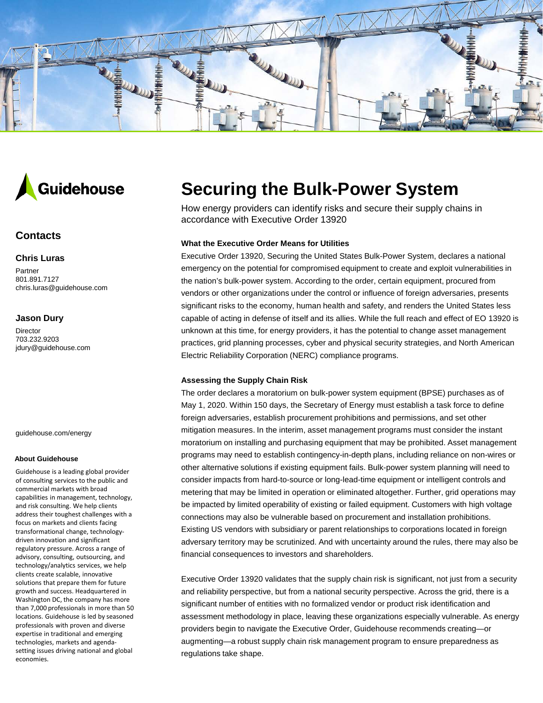



# **Contacts**

# **Chris Luras**

Partner 801.891.7127 chris.luras@guidehouse.com

## **Jason Dury**

Director 703.232.9203 jdury@guidehouse.com

guidehouse.com/energy

#### **About Guidehouse**

Guidehouse is a leading global provider of consulting services to the public and commercial markets with broad capabilities in management, technology, and risk consulting. We help clients address their toughest challenges with a focus on markets and clients facing transformational change, technologydriven innovation and significant regulatory pressure. Across a range of advisory, consulting, outsourcing, and technology/analytics services, we help clients create scalable, innovative solutions that prepare them for future growth and success. Headquartered in Washington DC, the company has more than 7,000 professionals in more than 50 locations. Guidehouse is led by seasoned professionals with proven and diverse expertise in traditional and emerging technologies, markets and agendasetting issues driving national and global economies.

# **Securing the Bulk-Power System**

How energy providers can identify risks and secure their supply chains in accordance with Executive Order 13920

### **What the Executive Order Means for Utilities**

Executive Order 13920, Securing the United States Bulk-Power System, declares a national emergency on the potential for compromised equipment to create and exploit vulnerabilities in the nation's bulk-power system. According to the order, certain equipment, procured from vendors or other organizations under the control or influence of foreign adversaries, presents significant risks to the economy, human health and safety, and renders the United States less capable of acting in defense of itself and its allies. While the full reach and effect of EO 13920 is unknown at this time, for energy providers, it has the potential to change asset management practices, grid planning processes, cyber and physical security strategies, and North American Electric Reliability Corporation (NERC) compliance programs.

### **Assessing the Supply Chain Risk**

The order declares a moratorium on bulk-power system equipment (BPSE) purchases as of May 1, 2020. Within 150 days, the Secretary of Energy must establish a task force to define foreign adversaries, establish procurement prohibitions and permissions, and set other mitigation measures. In the interim, asset management programs must consider the instant moratorium on installing and purchasing equipment that may be prohibited. Asset management programs may need to establish contingency-in-depth plans, including reliance on non-wires or other alternative solutions if existing equipment fails. Bulk-power system planning will need to consider impacts from hard-to-source or long-lead-time equipment or intelligent controls and metering that may be limited in operation or eliminated altogether. Further, grid operations may be impacted by limited operability of existing or failed equipment. Customers with high voltage connections may also be vulnerable based on procurement and installation prohibitions. Existing US vendors with subsidiary or parent relationships to corporations located in foreign adversary territory may be scrutinized. And with uncertainty around the rules, there may also be financial consequences to investors and shareholders.

Executive Order 13920 validates that the supply chain risk is significant, not just from a security and reliability perspective, but from a national security perspective. Across the grid, there is a significant number of entities with no formalized vendor or product risk identification and assessment methodology in place, leaving these organizations especially vulnerable. As energy providers begin to navigate the Executive Order, Guidehouse recommends creating—or augmenting—a robust supply chain risk management program to ensure preparedness as regulations take shape.